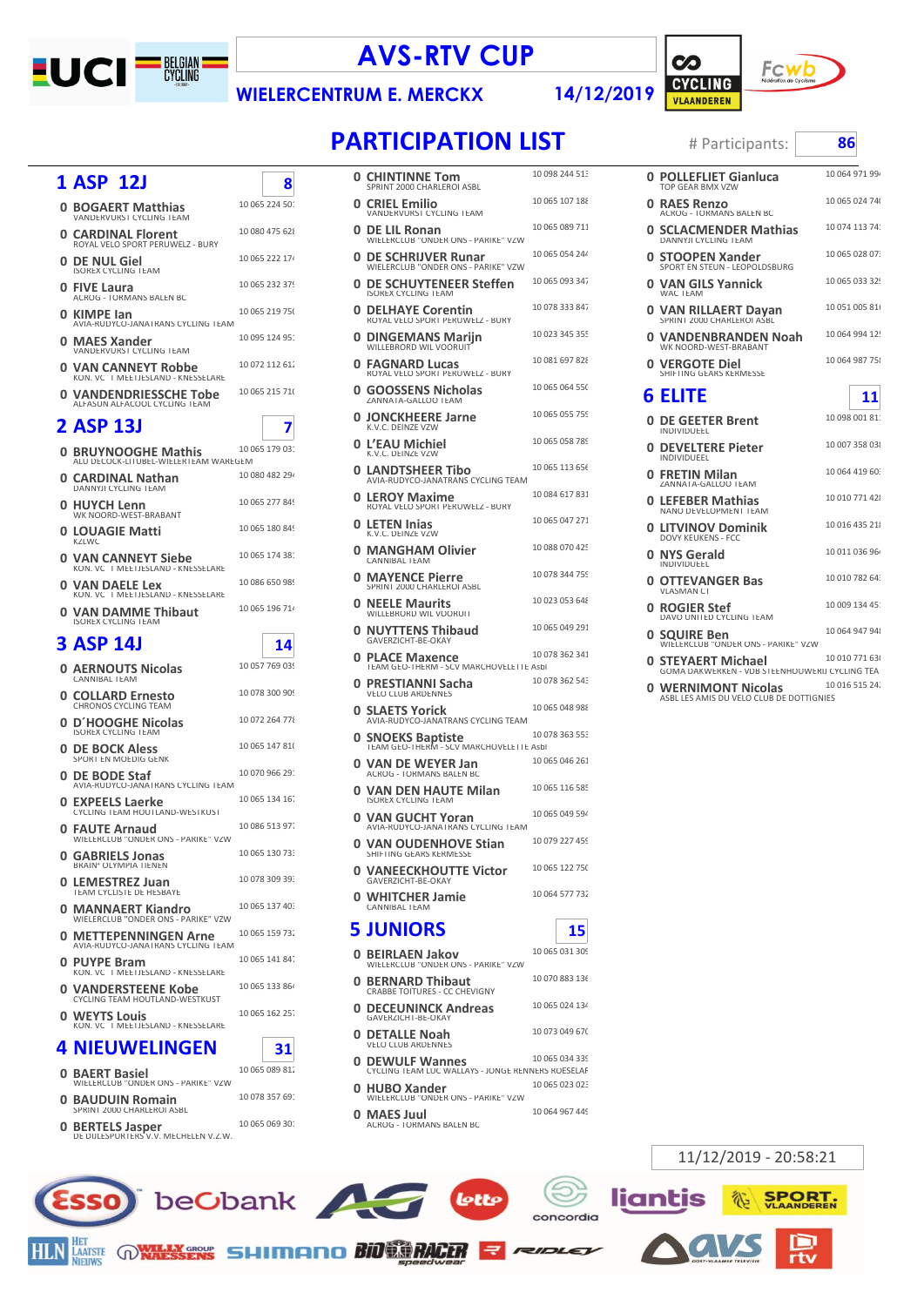

## **AVS-RTV CUP**

## 14/12/2019

 $\infty$ 



**WIELERCENTRUM E. MERCKX** 

8

```
# Participants:
```

| <b>0 BOGAERT Matthias</b><br><b>VANDERVURST CYCLING TEAM</b>      | 10 065 224 50 |
|-------------------------------------------------------------------|---------------|
| <b>0 CARDINAL Florent</b><br>ROYAL VELO SPORT PERLIWELZ - BLIRY   | 10 080 475 62 |
| 0 DE NUL Giel<br><b>ISOREX CYCLING TEAM</b>                       | 10 065 222 17 |
| 0 FIVE Laura<br><b>ACROG - TORMANS BALEN BC</b>                   | 10 065 232 37 |
| 0 KIMPE lan<br>AVIA-RUDYCO-JANATRANS CYCLING TEAM                 | 10 065 219 75 |
| 0 MAES Xander<br><b>VANDERVURST CYCLING TEAM</b>                  | 10 095 124 95 |
| <b>0 VAN CANNEYT Robbe</b><br>KON, VC 'T MEETJESLAND - KNESSELARE | 10 072 112 61 |
| <b>0 VANDENDRIESSCHE Tobe</b><br>ALFASUN ALFACOOL CYCLING TEAM    | 10 065 215 71 |
| <b>2 ASP 13J</b>                                                  |               |
|                                                                   |               |

|   | 0 BRUYNOOGHE Mathis<br>ALU DECOCK-LITUBEL-WIELERTEAM WAREGEM      | 10 065 179 03: |
|---|-------------------------------------------------------------------|----------------|
|   | 0 CARDINAL Nathan<br><b>DANNYJI CYCLING TEAM</b>                  | 10 080 482 294 |
| ი | <b>HUYCH Lenn</b><br>WK NOORD-WEST-BRABANT                        | 10 065 277 849 |
| O | <b>LOUAGIE Matti</b><br><b>KZLWC</b>                              | 10 065 180 849 |
| n | <b>VAN CANNEYT Siebe</b><br>KON. VC 'T MEETJESLAND - KNESSELARE   | 10 065 174 38: |
| U | VAN DAELE Lex<br>KON. VC 'T MEETJESLAND - KNESSELARE              | 10 086 650 989 |
|   | <b>0 VAN DAMME Thibaut</b><br><b>ISOREX CYCLING TEAM</b>          | 10 065 196 71  |
|   | 3 ASP 141                                                         | 14             |
| 0 | <b>AERNOUTS Nicolas</b><br><b>CANNIBAL TEAM</b>                   | 10 057 769 039 |
|   | 0  COLLARD Ernesto<br>CHRONOS CYCLING TEAM                        | 10 078 300 909 |
| ი | <b>D'HOOGHE Nicolas</b><br><b>ISOREX CYCLING TEAM</b>             | 10 072 264 778 |
| O | <b>DE BOCK Aless</b><br>SPORT EN MOEDIG GENK                      | 10 065 147 810 |
| 0 | <b>DE BODE Staf</b><br>AVIA-RUDYCO-JANATRANS CYCLING TEAM         | 10 070 966 29: |
| ი | <b>EXPEELS Laerke</b><br>CYCLING TEAM HOUTLAND-WESTKUST           | 10 065 134 16. |
|   | 0 FAUTE Arnaud<br>WIELERCLUB "ONDER ONS - PARIKE" VZW             | 10 086 513 97  |
| n | <b>GABRIELS Jonas</b><br><b>BRAIN' OLYMPIA TIENEN</b>             | 10 065 130 73. |
| ი | <b>LEMESTREZ Juan</b><br>TEAM CYCLISTE DE HESBAYE                 | 10 078 309 39: |
| n | <b>MANNAERT Kiandro</b><br>WIELERCLUB "ONDER ONS - PARIKE" VZW    | 10 065 137 40: |
| n | <b>METTEPENNINGEN Arne</b><br>AVIA-RUDYCO-JANATRANS CYCLING TEAM  | 10 065 159 73. |
| ი | <b>PUYPE Bram</b><br>KON, VC 'T MEETJESLAND - KNESSELARE          | 10 065 141 84. |
| ი | <b>VANDERSTEENE Kobe</b><br><b>CYCLING TEAM HOUTLAND-WESTKUST</b> | 10 065 133 864 |
| 0 | <b>WEYTS Louis</b><br>KON, VC 'T MEETJESLAND - KNESSELARE         | 10 065 162 25. |
|   | <b>4 NIEUWELINGEN</b>                                             | 31             |

| <b>0 BAERT Basiel</b><br>WIELERCLUB "ONDER ONS - PARIKE" VZW     | 10 065 089 81. |
|------------------------------------------------------------------|----------------|
| <b>0 BAUDUIN Romain</b><br>SPRINT 2000 CHARLEROI ASBL            | 10 078 357 69: |
| <b>O BERTELS Jasper</b><br>DE DIJLESPURTERS V.V. MECHELEN V.Z.W. | 10 065 069 30: |

**HLN** 

beObank

**HET CONTRACT SHIMAN OF BIOLOGY ANGELER** 

| <b>PARTICIPATION LIST</b> |  |  |
|---------------------------|--|--|
|                           |  |  |

| 0  | <b>CHINTINNE Tom</b><br>SPRINT 2000 CHARLEROI ASBL                        | 10 098 244 513 |
|----|---------------------------------------------------------------------------|----------------|
|    | 0 CRIEL Emilio<br>VANDERVURST CYCLING TEAM                                | 10 065 107 188 |
| 0  | <b>DE LIL Ronan</b><br>WIELERCLUB "ONDER ONS - PARIKE" VZW                | 10 065 089 711 |
| 0  | <b>DE SCHRIJVER Runar</b><br>WIELERCLUB "ONDER ONS - PARIKE" VZW          | 10 065 054 244 |
| 0  | DE SCHUYTENEER Steffen<br><b>ISOREX CYCLING TEAM</b>                      | 10 065 093 347 |
| 0  | <b>DELHAYE Corentin</b><br>ROYAL VELO SPORT PERUWELZ - BURY               | 10 078 333 847 |
| 0  | <b>DINGEMANS Marijn</b><br>WILLEBRORD WIL VOORUIT                         | 10 023 345 355 |
| 0  | <b>FAGNARD Lucas</b><br>ROYAL VELO SPORT PERUWELZ - BURY                  | 10 081 697 828 |
| 0  | <b>GOOSSENS Nicholas</b><br>ZANNATA-GALLOO TEAM                           | 10 065 064 550 |
| 0  | <b>JONCKHEERE Jarne</b><br>K.V.C. DEINZE VZW                              | 10 065 055 759 |
|    | 0 L'EAU Michiel<br>K.V.C. DEINZE VZW                                      | 10 065 058 789 |
| 0  | <b>LANDTSHEER Tibo</b><br>AVIA-RUDYCO-JANATRANS CYCLING TEAM              | 10 065 113 656 |
| 0  | <b>LEROY Maxime</b><br>ROYAL VELO SPORT PERUWELZ - BURY                   | 10 084 617 831 |
| 0  | <b>LETEN Inias</b><br>K.V.C. DEINZE VZW                                   | 10 065 047 271 |
| 0  | <b>MANGHAM Olivier</b><br>CANNIBAL TEAM                                   | 10 088 070 425 |
| 0  | <b>MAYENCE Pierre</b><br>SPRINT 2000 CHARLEROI ASBL                       | 10 078 344 759 |
| 0  | <b>NEELE Maurits</b><br>WILLEBRORD WIL VOORUIT                            | 10 023 053 648 |
|    | 0 NUYTTENS Thibaud<br>GAVERZICHT-BE-OKAY                                  | 10 065 049 291 |
|    | <b>0 PLACE Maxence</b><br>TEAM GEO-THERM - SCV MARCHOVELETTE Asbl         | 10 078 362 341 |
| 0  | <b>PRESTIANNI Sacha</b><br><b>VELO CLUB ARDENNES</b>                      | 10 078 362 543 |
| 0  | <b>SLAETS Yorick</b><br>AVIA-RUDYCO-JANATRANS CYCLING TEAM                | 10 065 048 988 |
| 0  | <b>SNOEKS Baptiste</b><br>TEAM GEO-THERM - SCV MARCHOVELETTE Asbl         | 10 078 363 553 |
| 0  | VAN DE WEYER Jan<br><b>ACROG - TORMANS BALEN BC</b>                       | 10 065 046 261 |
| 0  | VAN DEN HAUTE Milan<br><b>ISOREX CYCLING TEAM</b>                         | 10 065 116 585 |
| 0  | <b>VAN GUCHT Yoran</b><br>AVIA-RUDYCO-JANATRANS CYCLING TEAM              | 10 065 049 594 |
| 0  | <b>VAN OUDENHOVE Stian</b><br>SHIFTING GEARS KERMESSE                     | 10 079 227 459 |
|    | <b>0 VANEECKHOUTTE Victor</b><br>GAVERZICHT-BE-OKAY                       | 10 065 122 750 |
| 0  | <b>WHITCHER Jamie</b><br>CANNIBAL TEAM                                    | 10 064 577 732 |
| 5. | <b>IUNIORS</b>                                                            | 15             |
| 0. | <b>BEIRLAEN Jakov</b><br>WIELERCLUB "ONDER ONS - PARIKE" VZW              | 10 065 031 309 |
| 0  | <b>BERNARD Thibaut</b><br>CRABBE TOITURES - CC CHEVIGNY                   | 10 070 883 136 |
| 0  | <b>DECEUNINCK Andreas</b><br>GAVERZICHT-BE-OKAY                           | 10 065 024 134 |
| 0  | <b>DETALLE Noah</b><br><b>VELO CLUB ARDENNES</b>                          | 10 073 049 670 |
| 0  | <b>DEWULF Wannes</b><br>CYCLING TEAM LUC WALLAYS - JONGE RENNERS ROESELAF | 10 065 034 339 |
| 0. | <b>HUBO Xander</b><br>WIELERCLUB "ONDER ONS - PARIKE" VZW                 | 10 065 023 023 |
| 0. | <b>MAES Juul</b><br>ACROG - TORMANS BALEN BC                              | 10 064 967 449 |

lotte

**UDLEJ** 

| # Participants:                                                        | 86             |    |
|------------------------------------------------------------------------|----------------|----|
| 0 POLLEFLIET Gianluca<br>TOP GEAR BMX VZW                              | 10 064 971 99  |    |
| <b>0 RAES Renzo</b><br>ACROG - TORMANS BALEN BC                        | 10 065 024 74  |    |
| 0 SCLACMENDER Mathias<br>DANNYJI CYCLING TEAM                          | 10 074 113 74: |    |
| 0 STOOPEN Xander<br>SPORT EN STEUN - LEOPOLDSBURG                      | 10 065 028 07: |    |
| 0 VAN GILS Yannick<br><b>WAC TEAM</b>                                  | 10 065 033 329 |    |
| 0 VAN RILLAERT Dayan<br>SPRINT 2000 CHARLEROI ASBL                     | 10 051 005 81  |    |
| 0 VANDENBRANDEN Noah<br>WK NOORD-WEST-BRABANT                          | 10 064 994 12! |    |
| 0 VERGOTE Diel<br>SHIFTING GEARS KERMESSE                              | 10 064 987 75  |    |
| 6 ELITE                                                                |                | 11 |
| 0 DE GEETER Brent<br>INDIVIDUEEL                                       | 10 098 001 81: |    |
| <b>0 DEVELTERE Pieter</b><br><b>INDIVIDUEEL</b>                        | 10 007 358 03  |    |
| 0 FRETIN Milan<br>ZANNATA-GALLOO TEAM                                  | 10 064 419 60  |    |
| 0 LEFEBER Mathias<br>NANO DEVELOPMENT TEAM                             | 10 010 771 42  |    |
| 0 LITVINOV Dominik<br><b>DOVY KEUKENS - FCC</b>                        | 10 016 435 21  |    |
| 0 NYS Gerald<br>INDIVIDUEEL                                            | 10 011 036 96  |    |
| 0 OTTEVANGER Bas<br><b>VLASMAN CT</b>                                  | 10 010 782 64  |    |
| 0 ROGIER Stef<br>DAVO UNITED CYCLING TEAM                              | 10 009 134 45: |    |
| 0 SOUIRE Ben<br>WIELERCLUB "ONDER ONS - PARIKE" VZW                    | 10 064 947 94  |    |
| 0 STEYAERT Michael<br>GOMA DAKWERKEN - VDB STEENHOUWERIJ CYCLING TEA   | 10 010 771 63  |    |
| <b>0 WERNIMONT Nicolas</b><br>ASBL LES AMIS DU VELO CLUB DE DOTTIGNIES | 10 016 515 24. |    |